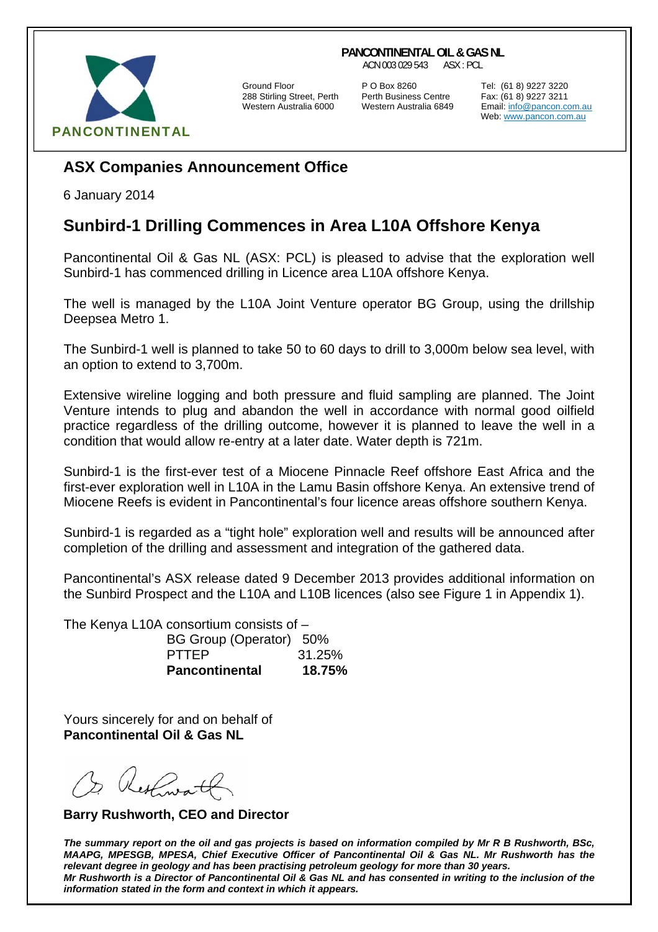## **PANCONTINENTAL OIL & GAS NL**

ACN 003 029 543 ASX : PCL



288 Stirling Street, Perth Perth Business Centre Fax: (61 8) 9227 3211

Ground Floor P O Box 8260 Tel: (61 8) 9227 3220

Email: info@pancon.com.au Web: www.pancon.com.au

## **ASX Companies Announcement Office**

6 January 2014

## **Sunbird-1 Drilling Commences in Area L10A Offshore Kenya**

Pancontinental Oil & Gas NL (ASX: PCL) is pleased to advise that the exploration well Sunbird-1 has commenced drilling in Licence area L10A offshore Kenya.

The well is managed by the L10A Joint Venture operator BG Group, using the drillship Deepsea Metro 1.

The Sunbird-1 well is planned to take 50 to 60 days to drill to 3,000m below sea level, with an option to extend to 3,700m.

Extensive wireline logging and both pressure and fluid sampling are planned. The Joint Venture intends to plug and abandon the well in accordance with normal good oilfield practice regardless of the drilling outcome, however it is planned to leave the well in a condition that would allow re-entry at a later date. Water depth is 721m.

Sunbird-1 is the first-ever test of a Miocene Pinnacle Reef offshore East Africa and the first-ever exploration well in L10A in the Lamu Basin offshore Kenya. An extensive trend of Miocene Reefs is evident in Pancontinental's four licence areas offshore southern Kenya.

Sunbird-1 is regarded as a "tight hole" exploration well and results will be announced after completion of the drilling and assessment and integration of the gathered data.

Pancontinental's ASX release dated 9 December 2013 provides additional information on the Sunbird Prospect and the L10A and L10B licences (also see Figure 1 in Appendix 1).

The Kenya L10A consortium consists of – BG Group (Operator) 50% PTTEP 31.25% **Pancontinental 18.75%**

Yours sincerely for and on behalf of **Pancontinental Oil & Gas NL** 

 **Barry Rushworth, CEO and Director** 

*The summary report on the oil and gas projects is based on information compiled by Mr R B Rushworth, BSc, MAAPG, MPESGB, MPESA, Chief Executive Officer of Pancontinental Oil & Gas NL. Mr Rushworth has the relevant degree in geology and has been practising petroleum geology for more than 30 years. Mr Rushworth is a Director of Pancontinental Oil & Gas NL and has consented in writing to the inclusion of the information stated in the form and context in which it appears.*